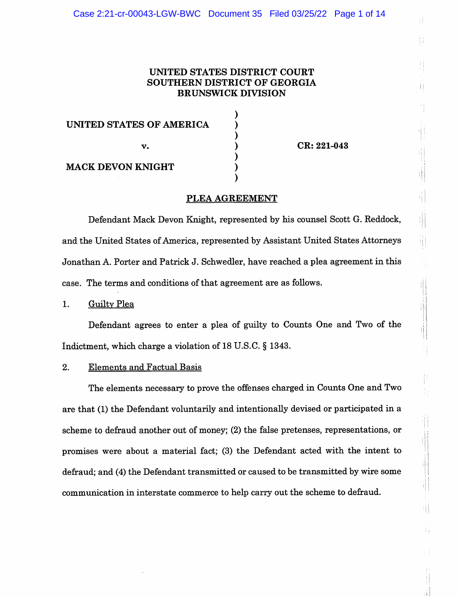# UNITED STATES DISTRICT COURT SOUTHERN DISTRICT OF GEORGIA **BRUNSWICK DIVISION**

| UNITED STATES OF AMERICA |  |
|--------------------------|--|
| v.                       |  |
| <b>MACK DEVON KNIGHT</b> |  |

CR: 221-043

Ħ

斗

# PLEA AGREEMENT

Defendant Mack Devon Knight, represented by his counsel Scott G. Reddock, and the United States of America, represented by Assistant United States Attorneys Jonathan A. Porter and Patrick J. Schwedler, have reached a plea agreement in this case. The terms and conditions of that agreement are as follows.

#### 1. **Guilty Plea**

Defendant agrees to enter a plea of guilty to Counts One and Two of the Indictment, which charge a violation of 18 U.S.C. § 1343.

#### $2.$ **Elements and Factual Basis**

The elements necessary to prove the offenses charged in Counts One and Two are that (1) the Defendant voluntarily and intentionally devised or participated in a scheme to defraud another out of money; (2) the false pretenses, representations, or promises were about a material fact; (3) the Defendant acted with the intent to defraud; and (4) the Defendant transmitted or caused to be transmitted by wire some communication in interstate commerce to help carry out the scheme to defraud.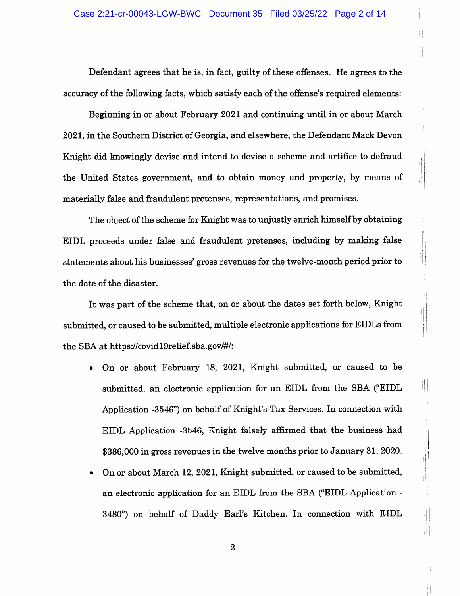Defendant agrees that he is, in fact, guilty of these offenses. He agrees to the accuracy of the following facts, which satisfy each of the offense's required elements:

'n

Ŧ,

ij.

i<br>I

Beginning in or about February 2021 and continuing until in or about March 2021, in the Southern District of Georgia, and elsewhere, the Defendant Mack Devon Knight did knowingly devise and intend to devise a scheme and artifice to defraud the United States government, and to obtain money and property, by means of materially false and fraudulent pretenses, representations, and promises.

The object of the scheme for Knight was to unjustly enrich himself by obtaining EIDL proceeds under false and fraudulent pretenses, including by making false statements about his businesses' gross revenues for the twelve-month period prior to the date of the disaster.

It was part of the scheme that, on or about the dates set forth below, Knight submitted, or caused to be submitted, multiple electronic applications for EIDLs from the SBA at https://covid19relief.sba.gov/#/:

- On or about February 18, 2021, Knight submitted, or caused to be submitted, an electronic application for an EIDL from the SBA ("EIDL" Application -3546") on behalf of Knight's Tax Services. In connection with EIDL Application -3546, Knight falsely affirmed that the business had \$386,000 in gross revenues in the twelve months prior to January 31, 2020.
- On or about March 12, 2021, Knight submitted, or caused to be submitted, an electronic application for an EIDL from the SBA ("EIDL Application -3480") on behalf of Daddy Earl's Kitchen. In connection with EIDL

 $\overline{2}$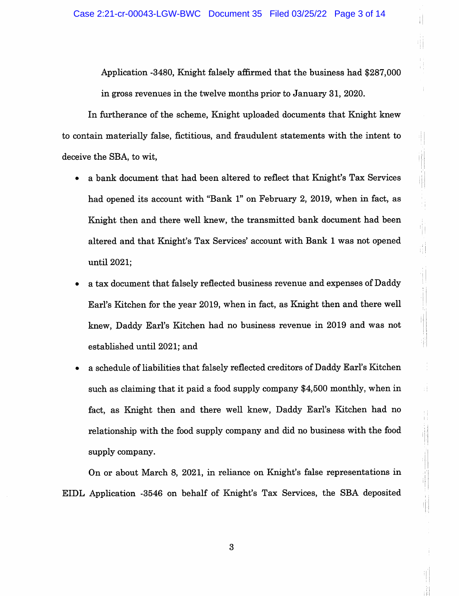Application -3480, Knight falsely affirmed that the business had \$287,000 in gross revenues in the twelve months prior to January 31, 2020.

In furtherance of the scheme, Knight uploaded documents that Knight knew to contain materially false, fictitious, and fraudulent statements with the intent to deceive the SBA, to wit,

- a bank document that had been altered to reflect that Knight's Tax Services had opened its account with "Bank 1" on February 2, 2019, when in fact, as Knight then and there well knew, the transmitted bank document had been altered and that Knight's Tax Services' account with Bank 1 was not opened until 2021;
- a tax document that falsely reflected business revenue and expenses of Daddy Earl's Kitchen for the year 2019, when in fact, as Knight then and there well knew, Daddy Earl's Kitchen had no business revenue in 2019 and was not established until 2021; and
- a schedule of liabilities that falsely reflected creditors of Daddy Earl's Kitchen such as claiming that it paid a food supply company \$4,500 monthly, when in fact, as Knight then and there well knew, Daddy Earl's Kitchen had no relationship with the food supply company and did no business with the food supply company.

 $\pm$  )

On or about March 8, 2021, in reliance on Knight's false representations in EIDL Application -3546 on behalf of Knight's Tax Services, the SBA deposited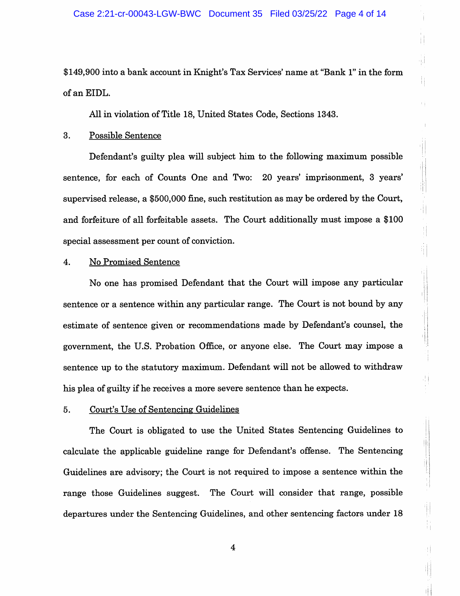\$149,900 into a bank account in Knight's Tax Services' name at "Bank 1" in the form of an EIDL.

All in violation of Title 18, United States Code, Sections 1343.

# 3. **Possible Sentence**

Defendant's guilty plea will subject him to the following maximum possible sentence, for each of Counts One and Two: 20 years' imprisonment, 3 years' supervised release, a \$500,000 fine, such restitution as may be ordered by the Court, and forfeiture of all forfeitable assets. The Court additionally must impose a \$100 special assessment per count of conviction.

Ħ

 $\frac{1}{2}$ 

4Ì,

I

Ħ

# **No Promised Sentence**  $4.$

No one has promised Defendant that the Court will impose any particular sentence or a sentence within any particular range. The Court is not bound by any estimate of sentence given or recommendations made by Defendant's counsel, the government, the U.S. Probation Office, or anyone else. The Court may impose a sentence up to the statutory maximum. Defendant will not be allowed to withdraw his plea of guilty if he receives a more severe sentence than he expects.

#### 5. Court's Use of Sentencing Guidelines

The Court is obligated to use the United States Sentencing Guidelines to calculate the applicable guideline range for Defendant's offense. The Sentencing Guidelines are advisory; the Court is not required to impose a sentence within the range those Guidelines suggest. The Court will consider that range, possible departures under the Sentencing Guidelines, and other sentencing factors under 18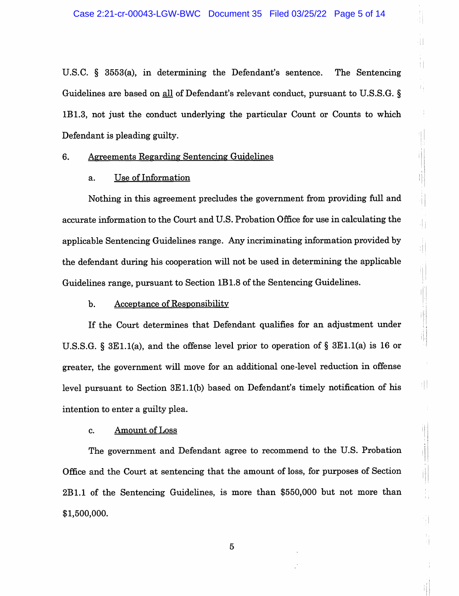41

Ħ

41

市

배

剕

U.S.C.  $\S$  3553(a), in determining the Defendant's sentence. The Sentencing Guidelines are based on all of Defendant's relevant conduct, pursuant to U.S.S.G. § 1B1.3, not just the conduct underlying the particular Count or Counts to which Defendant is pleading guilty.

#### **Agreements Regarding Sentencing Guidelines** 6.

## a. Use of Information

Nothing in this agreement precludes the government from providing full and accurate information to the Court and U.S. Probation Office for use in calculating the applicable Sentencing Guidelines range. Any incriminating information provided by the defendant during his cooperation will not be used in determining the applicable Guidelines range, pursuant to Section 1B1.8 of the Sentencing Guidelines.

#### **Acceptance of Responsibility** b.

If the Court determines that Defendant qualifies for an adjustment under U.S.S.G. § 3E1.1(a), and the offense level prior to operation of § 3E1.1(a) is 16 or greater, the government will move for an additional one-level reduction in offense level pursuant to Section 3E1.1(b) based on Defendant's timely notification of his intention to enter a guilty plea.

# **Amount of Loss** c.

The government and Defendant agree to recommend to the U.S. Probation Office and the Court at sentencing that the amount of loss, for purposes of Section 2B1.1 of the Sentencing Guidelines, is more than \$550,000 but not more than \$1,500,000.

 $\overline{5}$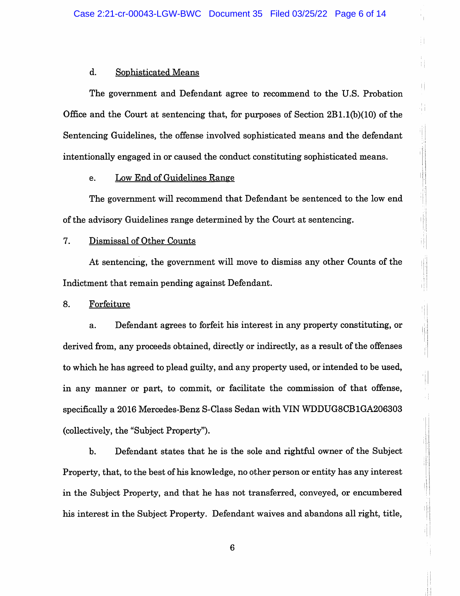Ħ

Ħ

H

## d. **Sophisticated Means**

The government and Defendant agree to recommend to the U.S. Probation Office and the Court at sentencing that, for purposes of Section  $2B1.1(b)(10)$  of the Sentencing Guidelines, the offense involved sophisticated means and the defendant intentionally engaged in or caused the conduct constituting sophisticated means.

#### **Low End of Guidelines Range** e.

The government will recommend that Defendant be sentenced to the low end of the advisory Guidelines range determined by the Court at sentencing.

# 7. Dismissal of Other Counts

At sentencing, the government will move to dismiss any other Counts of the Indictment that remain pending against Defendant.

#### 8. Forfeiture

Defendant agrees to forfeit his interest in any property constituting, or a. derived from, any proceeds obtained, directly or indirectly, as a result of the offenses to which he has agreed to plead guilty, and any property used, or intended to be used, in any manner or part, to commit, or facilitate the commission of that offense, specifically a 2016 Mercedes-Benz S-Class Sedan with VIN WDDUG8CB1GA206303 (collectively, the "Subject Property").

 $\mathbf b$ . Defendant states that he is the sole and rightful owner of the Subject Property, that, to the best of his knowledge, no other person or entity has any interest in the Subject Property, and that he has not transferred, conveyed, or encumbered his interest in the Subject Property. Defendant waives and abandons all right, title,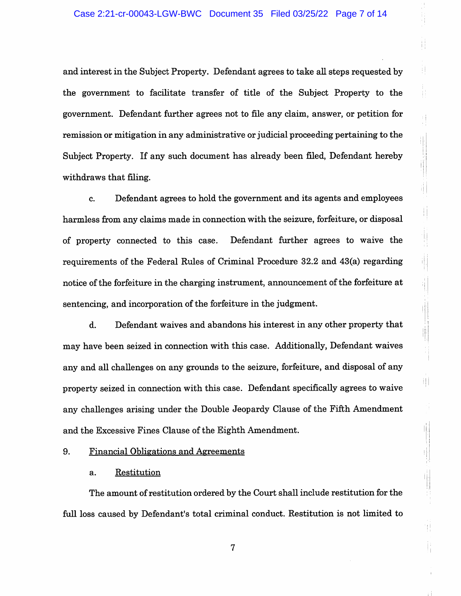and interest in the Subject Property. Defendant agrees to take all steps requested by the government to facilitate transfer of title of the Subject Property to the government. Defendant further agrees not to file any claim, answer, or petition for remission or mitigation in any administrative or judicial proceeding pertaining to the Subject Property. If any such document has already been filed, Defendant hereby withdraws that filing.

ţİ.

 $\begin{array}{c} \begin{array}{c} \begin{array}{c} \end{array} \end{array} \end{array}$ 

lij<br>U

T

Defendant agrees to hold the government and its agents and employees c. harmless from any claims made in connection with the seizure, forfeiture, or disposal Defendant further agrees to waive the of property connected to this case. requirements of the Federal Rules of Criminal Procedure 32.2 and 43(a) regarding notice of the forfeiture in the charging instrument, announcement of the forfeiture at sentencing, and incorporation of the forfeiture in the judgment.

d. Defendant waives and abandons his interest in any other property that may have been seized in connection with this case. Additionally, Defendant waives any and all challenges on any grounds to the seizure, forfeiture, and disposal of any property seized in connection with this case. Defendant specifically agrees to waive any challenges arising under the Double Jeopardy Clause of the Fifth Amendment and the Excessive Fines Clause of the Eighth Amendment.

#### 9. **Financial Obligations and Agreements**

#### Restitution a.

The amount of restitution ordered by the Court shall include restitution for the full loss caused by Defendant's total criminal conduct. Restitution is not limited to

 $\overline{7}$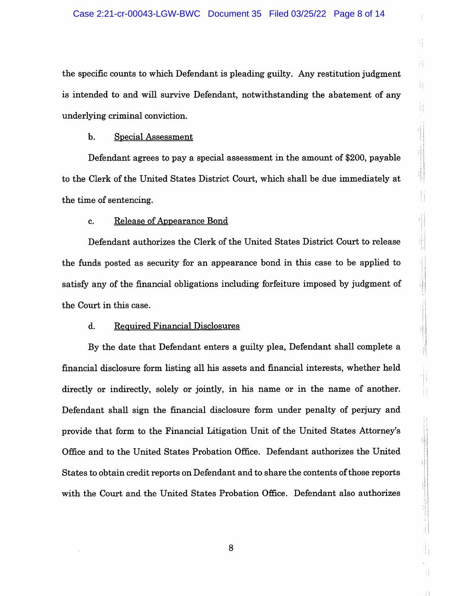the specific counts to which Defendant is pleading guilty. Any restitution judgment is intended to and will survive Defendant, notwithstanding the abatement of any underlying criminal conviction.

Ŵ.

Ħ

fl.

Ħ

į,

#### b. **Special Assessment**

Defendant agrees to pay a special assessment in the amount of \$200, payable to the Clerk of the United States District Court, which shall be due immediately at the time of sentencing.

## Release of Appearance Bond c.

Defendant authorizes the Clerk of the United States District Court to release the funds posted as security for an appearance bond in this case to be applied to satisfy any of the financial obligations including forfeiture imposed by judgment of the Court in this case.

#### $\mathbf{d}$ . **Required Financial Disclosures**

By the date that Defendant enters a guilty plea, Defendant shall complete a financial disclosure form listing all his assets and financial interests, whether held directly or indirectly, solely or jointly, in his name or in the name of another. Defendant shall sign the financial disclosure form under penalty of perjury and provide that form to the Financial Litigation Unit of the United States Attorney's Office and to the United States Probation Office. Defendant authorizes the United States to obtain credit reports on Defendant and to share the contents of those reports with the Court and the United States Probation Office. Defendant also authorizes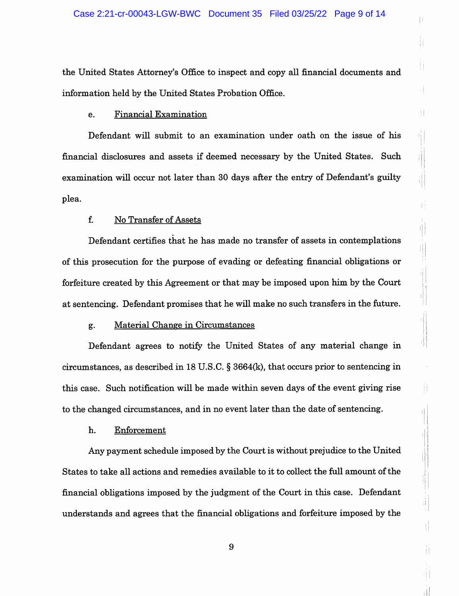Ħ

Ħ

чj

41

1||<br>|-

ij.

Ħ

ij.

the United States Attorney's Office to inspect and copy all financial documents and information held by the United States Probation Office.

#### **Financial Examination** e.

Defendant will submit to an examination under oath on the issue of his financial disclosures and assets if deemed necessary by the United States. Such examination will occur not later than 30 days after the entry of Defendant's guilty plea.

## f. No Transfer of Assets

Defendant certifies that he has made no transfer of assets in contemplations of this prosecution for the purpose of evading or defeating financial obligations or forfeiture created by this Agreement or that may be imposed upon him by the Court at sentencing. Defendant promises that he will make no such transfers in the future.

## Material Change in Circumstances g.

Defendant agrees to notify the United States of any material change in circumstances, as described in 18 U.S.C.  $\S 3664(k)$ , that occurs prior to sentencing in this case. Such notification will be made within seven days of the event giving rise to the changed circumstances, and in no event later than the date of sentencing.

## Enforcement h.

Any payment schedule imposed by the Court is without prejudice to the United States to take all actions and remedies available to it to collect the full amount of the financial obligations imposed by the judgment of the Court in this case. Defendant understands and agrees that the financial obligations and forfeiture imposed by the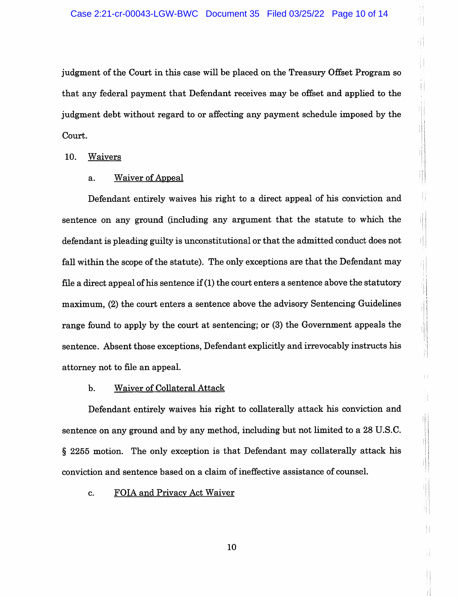judgment of the Court in this case will be placed on the Treasury Offset Program so that any federal payment that Defendant receives may be offset and applied to the judgment debt without regard to or affecting any payment schedule imposed by the Court.

10. Waivers

# **Waiver of Appeal** a.

Defendant entirely waives his right to a direct appeal of his conviction and sentence on any ground (including any argument that the statute to which the defendant is pleading guilty is unconstitutional or that the admitted conduct does not fall within the scope of the statute). The only exceptions are that the Defendant may file a direct appeal of his sentence if  $(1)$  the court enters a sentence above the statutory maximum, (2) the court enters a sentence above the advisory Sentencing Guidelines range found to apply by the court at sentencing; or (3) the Government appeals the sentence. Absent those exceptions, Defendant explicitly and irrevocably instructs his attorney not to file an appeal.

#### $<sub>b</sub>$ .</sub> **Waiver of Collateral Attack**

Defendant entirely waives his right to collaterally attack his conviction and sentence on any ground and by any method, including but not limited to a 28 U.S.C. § 2255 motion. The only exception is that Defendant may collaterally attack his conviction and sentence based on a claim of ineffective assistance of counsel.

Ħ

Ŵ

#### FOIA and Privacy Act Waiver  $\mathbf{c}$ .

10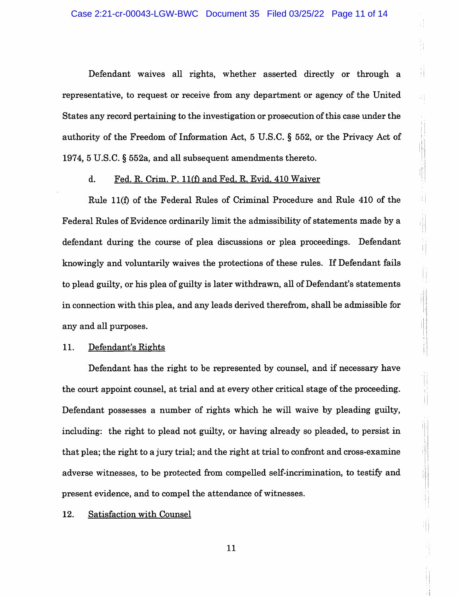Defendant waives all rights, whether asserted directly or through a representative, to request or receive from any department or agency of the United States any record pertaining to the investigation or prosecution of this case under the authority of the Freedom of Information Act, 5 U.S.C. § 552, or the Privacy Act of 1974, 5 U.S.C. § 552a, and all subsequent amendments thereto.

Ħ

4Ť.

ij

 $\left|\cdot\right|$ 

 $\begin{array}{c} \begin{array}{c} \hline \end{array} \\ \hline \end{array}$ 

 $\mathbf{d}$ . Fed. R. Crim. P. 11(f) and Fed. R. Evid. 410 Waiver

Rule 11(f) of the Federal Rules of Criminal Procedure and Rule 410 of the Federal Rules of Evidence ordinarily limit the admissibility of statements made by a defendant during the course of plea discussions or plea proceedings. Defendant knowingly and voluntarily waives the protections of these rules. If Defendant fails to plead guilty, or his plea of guilty is later withdrawn, all of Defendant's statements in connection with this plea, and any leads derived therefrom, shall be admissible for any and all purposes.

#### 11. Defendant's Rights

Defendant has the right to be represented by counsel, and if necessary have the court appoint counsel, at trial and at every other critical stage of the proceeding. Defendant possesses a number of rights which he will waive by pleading guilty, including: the right to plead not guilty, or having already so pleaded, to persist in that plea; the right to a jury trial; and the right at trial to confront and cross-examine adverse witnesses, to be protected from compelled self-incrimination, to testify and present evidence, and to compel the attendance of witnesses.

#### 12. **Satisfaction with Counsel**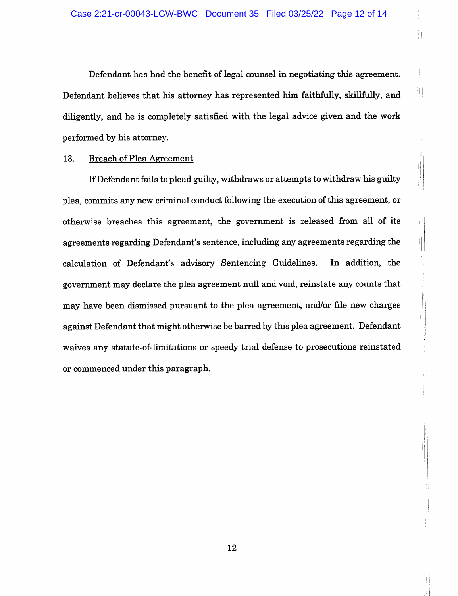Ţ

Ĩ

41

마

Ч.

ii

ij

训

Ŋ

Ŧ

圖

Defendant has had the benefit of legal counsel in negotiating this agreement. Defendant believes that his attorney has represented him faithfully, skillfully, and diligently, and he is completely satisfied with the legal advice given and the work performed by his attorney.

# 13. **Breach of Plea Agreement**

If Defendant fails to plead guilty, withdraws or attempts to withdraw his guilty plea, commits any new criminal conduct following the execution of this agreement, or otherwise breaches this agreement, the government is released from all of its agreements regarding Defendant's sentence, including any agreements regarding the calculation of Defendant's advisory Sentencing Guidelines. In addition, the government may declare the plea agreement null and void, reinstate any counts that may have been dismissed pursuant to the plea agreement, and/or file new charges against Defendant that might otherwise be barred by this plea agreement. Defendant waives any statute-of-limitations or speedy trial defense to prosecutions reinstated or commenced under this paragraph.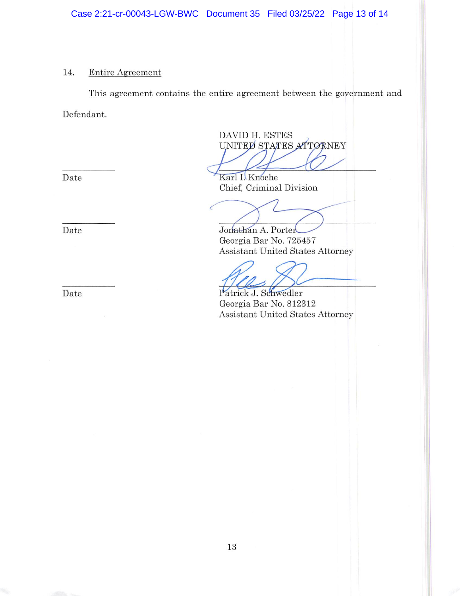# 14. Entire Agreement

This agreement contains the entire agreement between the government and Defendant.

DAVID H. ESTES UNITED STATES ATTORNEY

Karl I. Knoche Chief, Criminal Division

Jonathan A. Porter Georgia Bar No. 725457 Assistant United States Attorney

Patrick J. Schwedler Georgia Bar No. 812312 Assistant United States Attorney

Date

Date

Date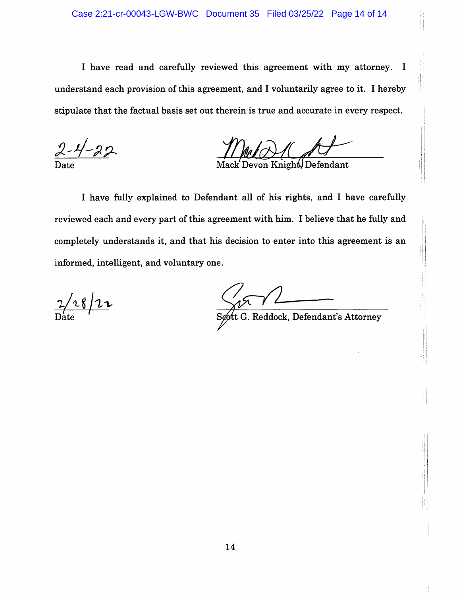I have read and carefully reviewed this agreement with my attorney. I understand each provision of this agreement, and I voluntarily agree to it. I hereby stipulate that the factual basis set out therein is true and accurate in every respect.

on Knighi∬Defendant Mack

I have fully explained to Defendant all of his rights, and I have carefully reviewed each and every part of this agreement with him. I believe that he fully and completely understands it, and that his decision to enter into this agreement is an informed, intelligent, and voluntary one.

 $\frac{2/28}{2}$ 

t G. Reddock, Defendant's Attorney

Ħ